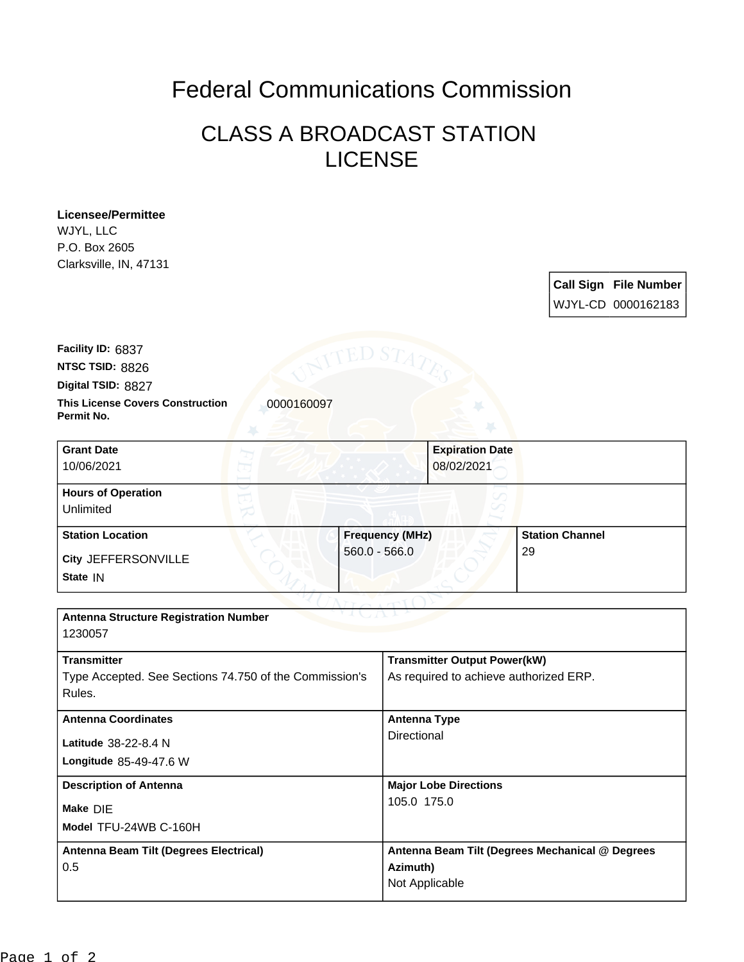## Federal Communications Commission

## CLASS A BROADCAST STATION LICENSE

**Licensee/Permittee** WJYL, LLC P.O. Box 2605 Clarksville, IN, 47131

| <b>Call Sign File Number</b> |
|------------------------------|
| WJYL-CD 0000162183           |

**Digital TSID:** 8827 **NTSC TSID:** 8826 **Facility ID:** 6837

**Permit No.**

**This License Covers Construction**  0000160097

| <b>Grant Date</b><br>10/06/2021        | <b>Expiration Date</b><br>08/02/2021 |                        |
|----------------------------------------|--------------------------------------|------------------------|
| <b>Hours of Operation</b><br>Unlimited |                                      |                        |
| <b>Station Location</b>                | <b>Frequency (MHz)</b>               | <b>Station Channel</b> |
| City JEFFERSONVILLE<br>State IN        | $560.0 - 566.0$                      | 29                     |

| <b>Antenna Structure Registration Number</b><br>1230057                                |                                                                               |  |  |
|----------------------------------------------------------------------------------------|-------------------------------------------------------------------------------|--|--|
| <b>Transmitter</b><br>Type Accepted. See Sections 74.750 of the Commission's<br>Rules. | <b>Transmitter Output Power(kW)</b><br>As required to achieve authorized ERP. |  |  |
| <b>Antenna Coordinates</b><br>Latitude 38-22-8.4 N<br>Longitude 85-49-47.6 W           | Antenna Type<br>Directional                                                   |  |  |
| <b>Description of Antenna</b><br>Make DIE<br>Model TFU-24WB C-160H                     | <b>Major Lobe Directions</b><br>105.0 175.0                                   |  |  |
| Antenna Beam Tilt (Degrees Electrical)<br>0.5                                          | Antenna Beam Tilt (Degrees Mechanical @ Degrees<br>Azimuth)<br>Not Applicable |  |  |